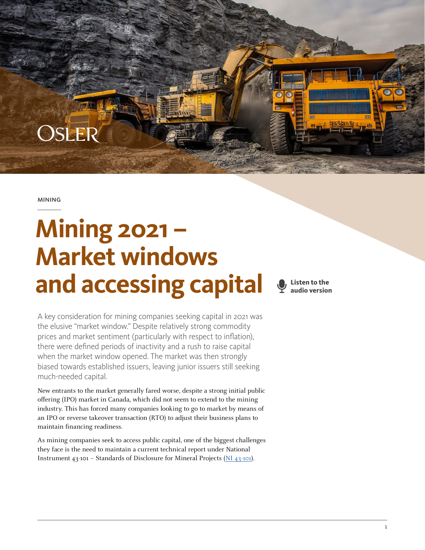**MINING** 

OSLER

# **Mining 2021 – Market windows and accessing capital**

**Listen to the audio version**

A key consideration for mining companies seeking capital in 2021 was the elusive "market window." Despite relatively strong commodity prices and market sentiment (particularly with respect to inflation), there were defined periods of inactivity and a rush to raise capital when the market window opened. The market was then strongly biased towards established issuers, leaving junior issuers still seeking much-needed capital.

New entrants to the market generally fared worse, despite a strong initial public offering (IPO) market in Canada, which did not seem to extend to the mining industry. This has forced many companies looking to go to market by means of an IPO or reverse takeover transaction (RTO) to adjust their business plans to maintain financing readiness.

As mining companies seek to access public capital, one of the biggest challenges they face is the need to maintain a current technical report under National Instrument 43-101 – Standards of Disclosure for Mineral Projects [\(NI 43-101\)](https://www.bcsc.bc.ca/securities-law/law-and-policy/instruments-and-policies/4-distribution-requirements/current/43-101/43101-standards-of-disclosure-for-mineral-projects-ni1).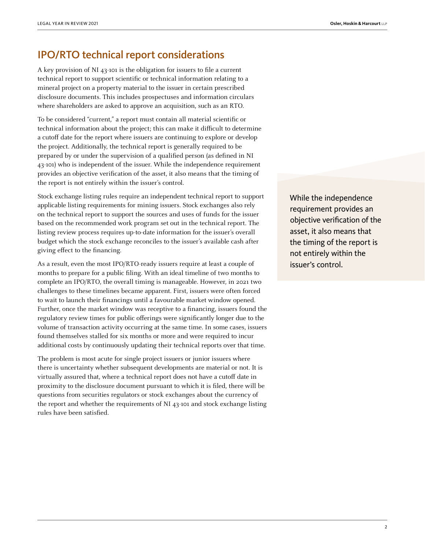## IPO/RTO technical report considerations

A key provision of NI 43-101 is the obligation for issuers to file a current technical report to support scientific or technical information relating to a mineral project on a property material to the issuer in certain prescribed disclosure documents. This includes prospectuses and information circulars where shareholders are asked to approve an acquisition, such as an RTO.

To be considered "current," a report must contain all material scientific or technical information about the project; this can make it difficult to determine a cutoff date for the report where issuers are continuing to explore or develop the project. Additionally, the technical report is generally required to be prepared by or under the supervision of a qualified person (as defined in NI 43-101) who is independent of the issuer. While the independence requirement provides an objective verification of the asset, it also means that the timing of the report is not entirely within the issuer's control.

Stock exchange listing rules require an independent technical report to support applicable listing requirements for mining issuers. Stock exchanges also rely on the technical report to support the sources and uses of funds for the issuer based on the recommended work program set out in the technical report. The listing review process requires up-to-date information for the issuer's overall budget which the stock exchange reconciles to the issuer's available cash after giving effect to the financing.

As a result, even the most IPO/RTO-ready issuers require at least a couple of months to prepare for a public filing. With an ideal timeline of two months to complete an IPO/RTO, the overall timing is manageable. However, in 2021 two challenges to these timelines became apparent. First, issuers were often forced to wait to launch their financings until a favourable market window opened. Further, once the market window was receptive to a financing, issuers found the regulatory review times for public offerings were significantly longer due to the volume of transaction activity occurring at the same time. In some cases, issuers found themselves stalled for six months or more and were required to incur additional costs by continuously updating their technical reports over that time.

The problem is most acute for single project issuers or junior issuers where there is uncertainty whether subsequent developments are material or not. It is virtually assured that, where a technical report does not have a cutoff date in proximity to the disclosure document pursuant to which it is filed, there will be questions from securities regulators or stock exchanges about the currency of the report and whether the requirements of NI 43-101 and stock exchange listing rules have been satisfied.

While the independence requirement provides an objective verification of the asset, it also means that the timing of the report is not entirely within the issuer's control.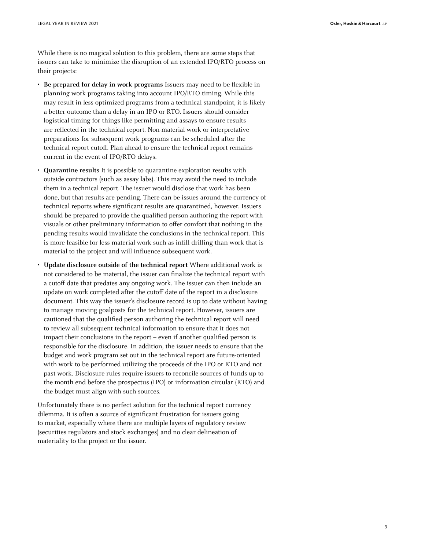While there is no magical solution to this problem, there are some steps that issuers can take to minimize the disruption of an extended IPO/RTO process on their projects:

- **Be prepared for delay in work programs** Issuers may need to be flexible in planning work programs taking into account IPO/RTO timing. While this may result in less optimized programs from a technical standpoint, it is likely a better outcome than a delay in an IPO or RTO. Issuers should consider logistical timing for things like permitting and assays to ensure results are reflected in the technical report. Non-material work or interpretative preparations for subsequent work programs can be scheduled after the technical report cutoff. Plan ahead to ensure the technical report remains current in the event of IPO/RTO delays.
- **Quarantine results** It is possible to quarantine exploration results with outside contractors (such as assay labs). This may avoid the need to include them in a technical report. The issuer would disclose that work has been done, but that results are pending. There can be issues around the currency of technical reports where significant results are quarantined, however. Issuers should be prepared to provide the qualified person authoring the report with visuals or other preliminary information to offer comfort that nothing in the pending results would invalidate the conclusions in the technical report. This is more feasible for less material work such as infill drilling than work that is material to the project and will influence subsequent work.
- **Update disclosure outside of the technical report** Where additional work is not considered to be material, the issuer can finalize the technical report with a cutoff date that predates any ongoing work. The issuer can then include an update on work completed after the cutoff date of the report in a disclosure document. This way the issuer's disclosure record is up to date without having to manage moving goalposts for the technical report. However, issuers are cautioned that the qualified person authoring the technical report will need to review all subsequent technical information to ensure that it does not impact their conclusions in the report – even if another qualified person is responsible for the disclosure. In addition, the issuer needs to ensure that the budget and work program set out in the technical report are future-oriented with work to be performed utilizing the proceeds of the IPO or RTO and not past work. Disclosure rules require issuers to reconcile sources of funds up to the month end before the prospectus (IPO) or information circular (RTO) and the budget must align with such sources.

Unfortunately there is no perfect solution for the technical report currency dilemma. It is often a source of significant frustration for issuers going to market, especially where there are multiple layers of regulatory review (securities regulators and stock exchanges) and no clear delineation of materiality to the project or the issuer.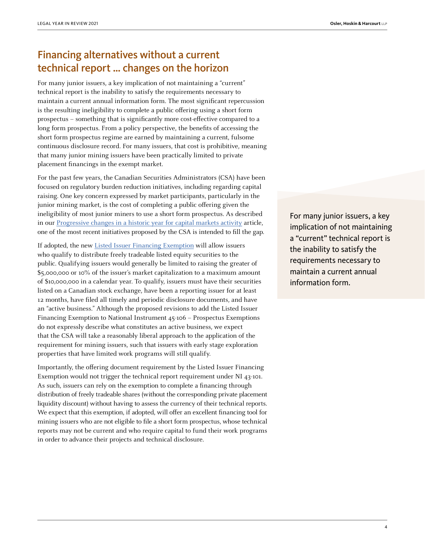# Financing alternatives without a current technical report … changes on the horizon

For many junior issuers, a key implication of not maintaining a "current" technical report is the inability to satisfy the requirements necessary to maintain a current annual information form. The most significant repercussion is the resulting ineligibility to complete a public offering using a short form prospectus – something that is significantly more cost-effective compared to a long form prospectus. From a policy perspective, the benefits of accessing the short form prospectus regime are earned by maintaining a current, fulsome continuous disclosure record. For many issuers, that cost is prohibitive, meaning that many junior mining issuers have been practically limited to private placement financings in the exempt market.

For the past few years, the Canadian Securities Administrators (CSA) have been focused on regulatory burden reduction initiatives, including regarding capital raising. One key concern expressed by market participants, particularly in the junior mining market, is the cost of completing a public offering given the ineligibility of most junior miners to use a short form prospectus. As described in our [Progressive changes in a historic year for capital markets activity](https://legalyearinreview.ca/progressive-changes-in-a-historic-year-for-capital-markets-activity/) article, one of the most recent initiatives proposed by the CSA is intended to fill the gap.

If adopted, the new [Listed Issuer Financing Exemption](https://www.osc.ca/en/securities-law/instruments-rules-policies/4/45-106/csa-notice-and-request-comment-proposed-amendments-national-instrument-45-106-prospectus) will allow issuers who qualify to distribute freely tradeable listed equity securities to the public. Qualifying issuers would generally be limited to raising the greater of \$5,000,000 or 10% of the issuer's market capitalization to a maximum amount of \$10,000,000 in a calendar year. To qualify, issuers must have their securities listed on a Canadian stock exchange, have been a reporting issuer for at least 12 months, have filed all timely and periodic disclosure documents, and have an "active business." Although the proposed revisions to add the Listed Issuer Financing Exemption to National Instrument 45-106 – Prospectus Exemptions do not expressly describe what constitutes an active business, we expect that the CSA will take a reasonably liberal approach to the application of the requirement for mining issuers, such that issuers with early stage exploration properties that have limited work programs will still qualify.

Importantly, the offering document requirement by the Listed Issuer Financing Exemption would not trigger the technical report requirement under NI 43-101. As such, issuers can rely on the exemption to complete a financing through distribution of freely tradeable shares (without the corresponding private placement liquidity discount) without having to assess the currency of their technical reports. We expect that this exemption, if adopted, will offer an excellent financing tool for mining issuers who are not eligible to file a short form prospectus, whose technical reports may not be current and who require capital to fund their work programs in order to advance their projects and technical disclosure.

For many junior issuers, a key implication of not maintaining a "current" technical report is the inability to satisfy the requirements necessary to maintain a current annual information form.